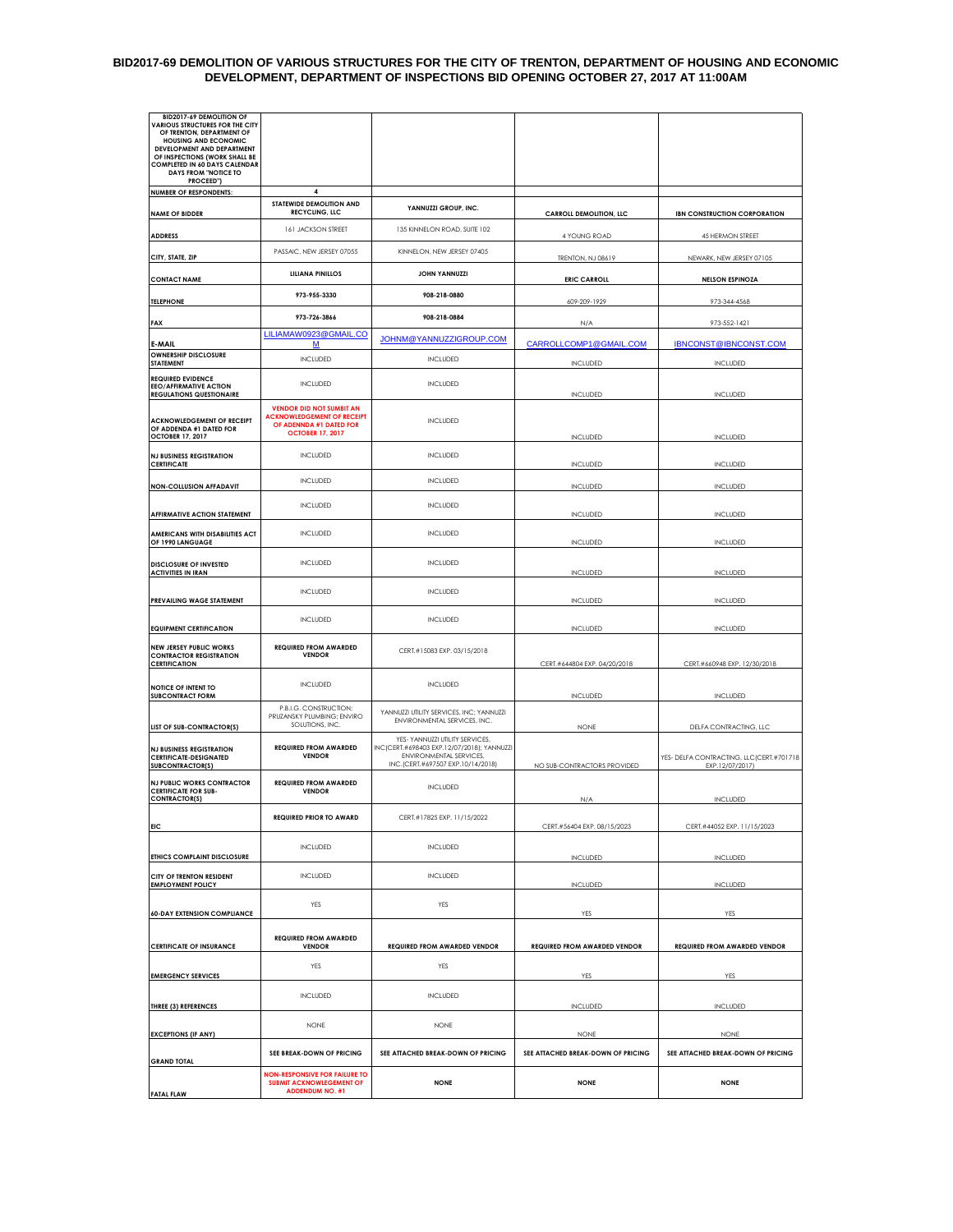## **BID2017-69 DEMOLITION OF VARIOUS STRUCTURES FOR THE CITY OF TRENTON, DEPARTMENT OF HOUSING AND ECONOMIC DEVELOPMENT, DEPARTMENT OF INSPECTIONS BID OPENING OCTOBER 27, 2017 AT 11:00AM**

| <b>BID2017-69 DEMOLITION OF</b><br><b>VARIOUS STRUCTURES FOR THE CITY</b><br>OF TRENTON, DEPARTMENT OF<br><b>HOUSING AND ECONOMIC</b> |                                                                                                                            |                                                                                                                                                |                                                   |                                                              |
|---------------------------------------------------------------------------------------------------------------------------------------|----------------------------------------------------------------------------------------------------------------------------|------------------------------------------------------------------------------------------------------------------------------------------------|---------------------------------------------------|--------------------------------------------------------------|
| DEVELOPMENT AND DEPARTMENT<br>OF INSPECTIONS (WORK SHALL BE<br><b>COMPLETED IN 60 DAYS CALENDAR</b><br><b>DAYS FROM "NOTICE TO</b>    |                                                                                                                            |                                                                                                                                                |                                                   |                                                              |
| PROCEED")<br><b>NUMBER OF RESPONDENTS:</b>                                                                                            | 4                                                                                                                          |                                                                                                                                                |                                                   |                                                              |
| <b>NAME OF BIDDER</b>                                                                                                                 | STATEWIDE DEMOLITION AND<br><b>RECYCLING, LLC</b>                                                                          | YANNUZZI GROUP, INC.                                                                                                                           | CARROLL DEMOLITION, LLC                           | <b>IBN CONSTRUCTION CORPORATION</b>                          |
| <b>ADDRESS</b>                                                                                                                        | 161 JACKSON STREET                                                                                                         | 135 KINNELON ROAD, SUITE 102                                                                                                                   | 4 YOUNG ROAD                                      | 45 HERMON STREET                                             |
| CITY, STATE, ZIP                                                                                                                      | PASSAIC, NEW JERSEY 07055                                                                                                  | KINNELON, NEW JERSEY 07405                                                                                                                     | TRENTON, NJ 08619                                 | NEWARK, NEW JERSEY 07105                                     |
| <b>CONTACT NAME</b>                                                                                                                   | <b>LILIANA PINILLOS</b>                                                                                                    | <b>JOHN YANNUZZI</b>                                                                                                                           | <b>ERIC CARROLL</b>                               | <b>NELSON ESPINOZA</b>                                       |
| <b>TELEPHONE</b>                                                                                                                      | 973-955-3330                                                                                                               | 908-218-0880                                                                                                                                   | 609-209-1929                                      | 973-344-4568                                                 |
| <b>FAX</b>                                                                                                                            | 973-726-3866                                                                                                               | 908-218-0884                                                                                                                                   | N/A                                               | 973-552-1421                                                 |
| E-MAIL                                                                                                                                | LILIAMAW0923@GMAIL.CO<br><u>M</u>                                                                                          | JOHNM@YANNUZZIGROUP.COM                                                                                                                        | CARROLLCOMP1@GMAIL.COM                            | <b>IBNCONST@IBNCONST.COM</b>                                 |
| <b>OWNERSHIP DISCLOSURE</b><br><b>STATEMENT</b>                                                                                       | <b>INCLUDED</b>                                                                                                            | INCLUDED                                                                                                                                       | <b>INCLUDED</b>                                   | <b>INCLUDED</b>                                              |
| <b>REQUIRED EVIDENCE</b><br><b>EEO/AFFIRMATIVE ACTION</b><br><b>REGULATIONS QUESTIONAIRE</b>                                          | INCLUDED                                                                                                                   | <b>INCLUDED</b>                                                                                                                                | INCLUDED                                          | INCLUDED                                                     |
| <b>ACKNOWLEDGEMENT OF RECEIPT</b><br>OF ADDENDA #1 DATED FOR<br><b>OCTOBER 17, 2017</b>                                               | <b>VENDOR DID NOT SUMBIT AN</b><br><b>ACKNOWLEDGEMENT OF RECEIPT</b><br>OF ADENNDA #1 DATED FOR<br><b>OCTOBER 17, 2017</b> | <b>INCLUDED</b>                                                                                                                                | <b>INCLUDED</b>                                   | <b>INCLUDED</b>                                              |
| <b>NJ BUSINESS REGISTRATION</b>                                                                                                       | <b>INCLUDED</b>                                                                                                            | <b>INCLUDED</b>                                                                                                                                |                                                   |                                                              |
| <b>CERTIFICATE</b>                                                                                                                    | <b>INCLUDED</b>                                                                                                            | <b>INCLUDED</b>                                                                                                                                | <b>INCLUDED</b>                                   | INCLUDED                                                     |
| <b>NON-COLLUSION AFFADAVIT</b>                                                                                                        | <b>INCLUDED</b>                                                                                                            | <b>INCLUDED</b>                                                                                                                                | <b>INCLUDED</b>                                   | INCLUDED                                                     |
| AFFIRMATIVE ACTION STATEMENT<br>AMERICANS WITH DISABILITIES ACT                                                                       | <b>INCLUDED</b>                                                                                                            | <b>INCLUDED</b>                                                                                                                                | <b>INCLUDED</b>                                   | INCLUDED                                                     |
| OF 1990 LANGUAGE                                                                                                                      |                                                                                                                            |                                                                                                                                                | <b>INCLUDED</b>                                   | INCLUDED                                                     |
| <b>DISCLOSURE OF INVESTED</b><br><b>ACTIVITIES IN IRAN</b>                                                                            | <b>INCLUDED</b>                                                                                                            | <b>INCLUDED</b>                                                                                                                                | <b>INCLUDED</b>                                   | INCLUDED                                                     |
| PREVAILING WAGE STATEMENT                                                                                                             | <b>INCLUDED</b>                                                                                                            | INCLUDED                                                                                                                                       | <b>INCLUDED</b>                                   | INCLUDED                                                     |
| <b>EQUIPMENT CERTIFICATION</b>                                                                                                        | <b>INCLUDED</b>                                                                                                            | INCLUDED                                                                                                                                       | <b>INCLUDED</b>                                   | INCLUDED                                                     |
| <b>NEW JERSEY PUBLIC WORKS</b><br><b>CONTRACTOR REGISTRATION</b><br><b>CERTIFICATION</b>                                              | <b>REQUIRED FROM AWARDED</b><br><b>VENDOR</b>                                                                              | CERT.#15083 EXP. 03/15/2018                                                                                                                    | CERT.#644804 EXP. 04/20/2018                      | CERT.#660948 EXP. 12/30/2018                                 |
| NOTICE OF INTENT TO<br><b>SUBCONTRACT FORM</b>                                                                                        | <b>INCLUDED</b>                                                                                                            | INCLUDED                                                                                                                                       | <b>INCLUDED</b>                                   | <b>INCLUDED</b>                                              |
| LIST OF SUB-CONTRACTOR(S)                                                                                                             | P.B.I.G. CONSTRUCTION;<br>PRUZANSKY PLUMBING; ENVIRO<br>SOLUTIONS, INC.                                                    | YANNUZZI UTILITY SERVICES, INC; YANNUZZI<br>ENVIRONMENTAL SERVICES, INC.                                                                       | <b>NONE</b>                                       | DELFA CONTRACTING, LLC                                       |
| <b>NJ BUSINESS REGISTRATION</b><br><b>CERTIFICATE-DESIGNATED</b><br><b>SUBCONTRACTOR(S)</b>                                           | <b>REQUIRED FROM AWARDED</b><br><b>VENDOR</b>                                                                              | YES- YANNUZZI UTILITY SERVICES,<br>INC (CERT.#698403 EXP.12/07/2018); YANNUZZI<br>ENVIRONMENTAL SERVICES,<br>INC.(CERT.#697507 EXP.10/14/2018) | NO SUB-CONTRACTORS PROVIDED                       | YES- DELFA CONTRACTING, LLC (CERT.#701718<br>EXP.12/07/2017) |
| <b>NJ PUBLIC WORKS CONTRACTOR</b><br><b>CERTIFICATE FOR SUB-</b><br><b>CONTRACTOR(S)</b>                                              | <b>REQUIRED FROM AWARDED</b><br><b>VENDOR</b>                                                                              | <b>INCLUDED</b>                                                                                                                                | N/A                                               | <b>INCLUDED</b>                                              |
|                                                                                                                                       | <b>REQUIRED PRIOR TO AWARD</b>                                                                                             | CERT.#17825 EXP. 11/15/2022                                                                                                                    |                                                   |                                                              |
| EIC                                                                                                                                   |                                                                                                                            |                                                                                                                                                | CERT.#56404 EXP. 08/15/2023                       | CERT.#44052 EXP. 11/15/2023                                  |
| ETHICS COMPLAINT DISCLOSURE                                                                                                           | <b>INCLUDED</b>                                                                                                            | INCLUDED                                                                                                                                       | INCLUDED                                          | INCLUDED                                                     |
| CITY OF TRENTON RESIDENT<br><b>EMPLOYMENT POLICY</b>                                                                                  | <b>INCLUDED</b>                                                                                                            | INCLUDED                                                                                                                                       | <b>INCLUDED</b>                                   | INCLUDED                                                     |
| <b>60-DAY EXTENSION COMPLIANCE</b>                                                                                                    | YES                                                                                                                        | YES                                                                                                                                            | YES                                               | YES                                                          |
| <b>CERTIFICATE OF INSURANCE</b>                                                                                                       | <b>REQUIRED FROM AWARDED</b><br><b>VENDOR</b>                                                                              | <b>REQUIRED FROM AWARDED VENDOR</b>                                                                                                            | <b>REQUIRED FROM AWARDED VENDOR</b>               | <b>REQUIRED FROM AWARDED VENDOR</b>                          |
| <b>EMERGENCY SERVICES</b>                                                                                                             | YES                                                                                                                        | YES                                                                                                                                            | YES                                               | YES                                                          |
| <b>THREE (3) REFERENCES</b>                                                                                                           | <b>INCLUDED</b>                                                                                                            | <b>INCLUDED</b>                                                                                                                                | <b>INCLUDED</b>                                   | <b>INCLUDE</b>                                               |
|                                                                                                                                       | <b>NONE</b>                                                                                                                | <b>NONE</b>                                                                                                                                    |                                                   |                                                              |
| <b>EXCEPTIONS (IF ANY)</b>                                                                                                            | SEE BREAK-DOWN OF PRICING                                                                                                  | SEE ATTACHED BREAK-DOWN OF PRICING                                                                                                             | <b>NONE</b><br>SEE ATTACHED BREAK-DOWN OF PRICING | <b>NONE</b><br>SEE ATTACHED BREAK-DOWN OF PRICING            |
| <b>GRAND TOTAL</b>                                                                                                                    | <b>NON-RESPONSIVE FOR FAILURE TO</b>                                                                                       |                                                                                                                                                |                                                   |                                                              |
| <b>FATAL FLAW</b>                                                                                                                     | <b>SUBMIT ACKNOWLEGEMENT OF</b><br><b>ADDENDUM NO. #1</b>                                                                  | <b>NONE</b>                                                                                                                                    | <b>NONE</b>                                       | <b>NONE</b>                                                  |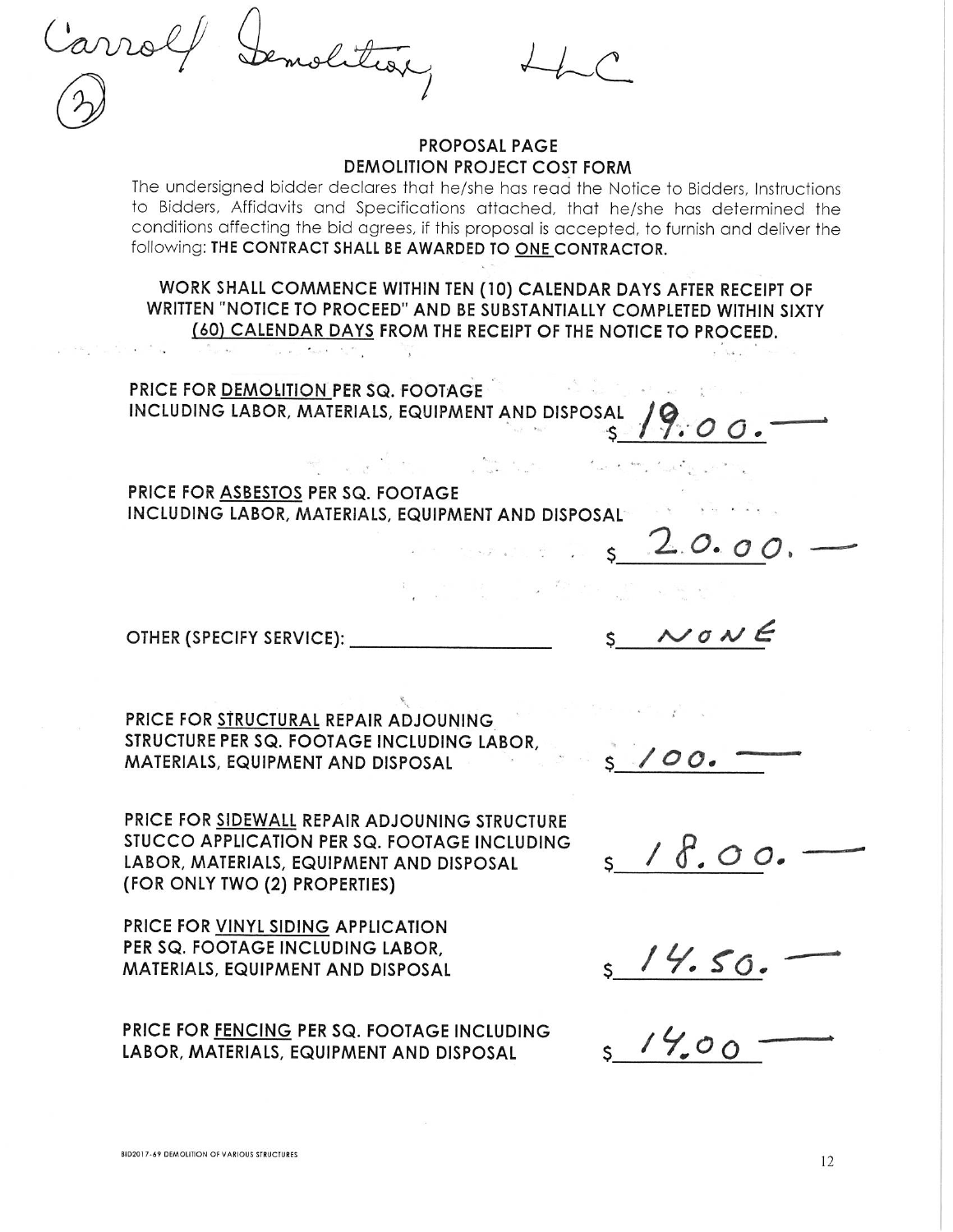## **PROPOSAL PAGE DEMOLITION PROJECT COST FORM**

The undersigned bidder declares that he/she has read the Notice to Bidders, Instructions to Bidders, Affidavits and Specifications attached, that he/she has determined the conditions affecting the bid agrees, if this proposal is accepted, to furnish and deliver the following: THE CONTRACT SHALL BE AWARDED TO ONE CONTRACTOR.

WORK SHALL COMMENCE WITHIN TEN (10) CALENDAR DAYS AFTER RECEIPT OF WRITTEN "NOTICE TO PROCEED" AND BE SUBSTANTIALLY COMPLETED WITHIN SIXTY (60) CALENDAR DAYS FROM THE RECEIPT OF THE NOTICE TO PROCEED.

PRICE FOR DEMOLITION PER SQ. FOOTAGE INCLUDING LABOR, MATERIALS, EQUIPMENT AND DISPOSAL

 $\label{eq:1} \frac{1}{2} \mathbf{1}_{\mathbf{1}} \mathbf{1}_{\mathbf{1}} \mathbf{1}_{\mathbf{2}} \mathbf{1}_{\mathbf{3}} \mathbf{1}_{\mathbf{4}} \mathbf{1}_{\mathbf{5}} \mathbf{1}_{\mathbf{6}} \mathbf{1}_{\mathbf{5}} \mathbf{1}_{\mathbf{6}} \mathbf{1}_{\mathbf{7}} \mathbf{1}_{\mathbf{8}} \mathbf{1}_{\mathbf{9}}$ 

PRICE FOR ASBESTOS PER SQ. FOOTAGE INCLUDING LABOR, MATERIALS, EQUIPMENT AND DISPOSAL

OTHER (SPECIFY SERVICE):

PRICE FOR STRUCTURAL REPAIR ADJOUNING STRUCTURE PER SQ. FOOTAGE INCLUDING LABOR. MATERIALS, EQUIPMENT AND DISPOSAL

PRICE FOR SIDEWALL REPAIR ADJOUNING STRUCTURE STUCCO APPLICATION PER SQ. FOOTAGE INCLUDING LABOR, MATERIALS, EQUIPMENT AND DISPOSAL (FOR ONLY TWO (2) PROPERTIES)

PRICE FOR VINYL SIDING APPLICATION PER SQ. FOOTAGE INCLUDING LABOR. MATERIALS, EQUIPMENT AND DISPOSAL

PRICE FOR FENCING PER SQ. FOOTAGE INCLUDING LABOR, MATERIALS, EQUIPMENT AND DISPOSAL

 $10NE$ 

 $\cdot$  O C

 $100.$ 

 $s$  /  $\delta$ , 00.

 $5/4.00$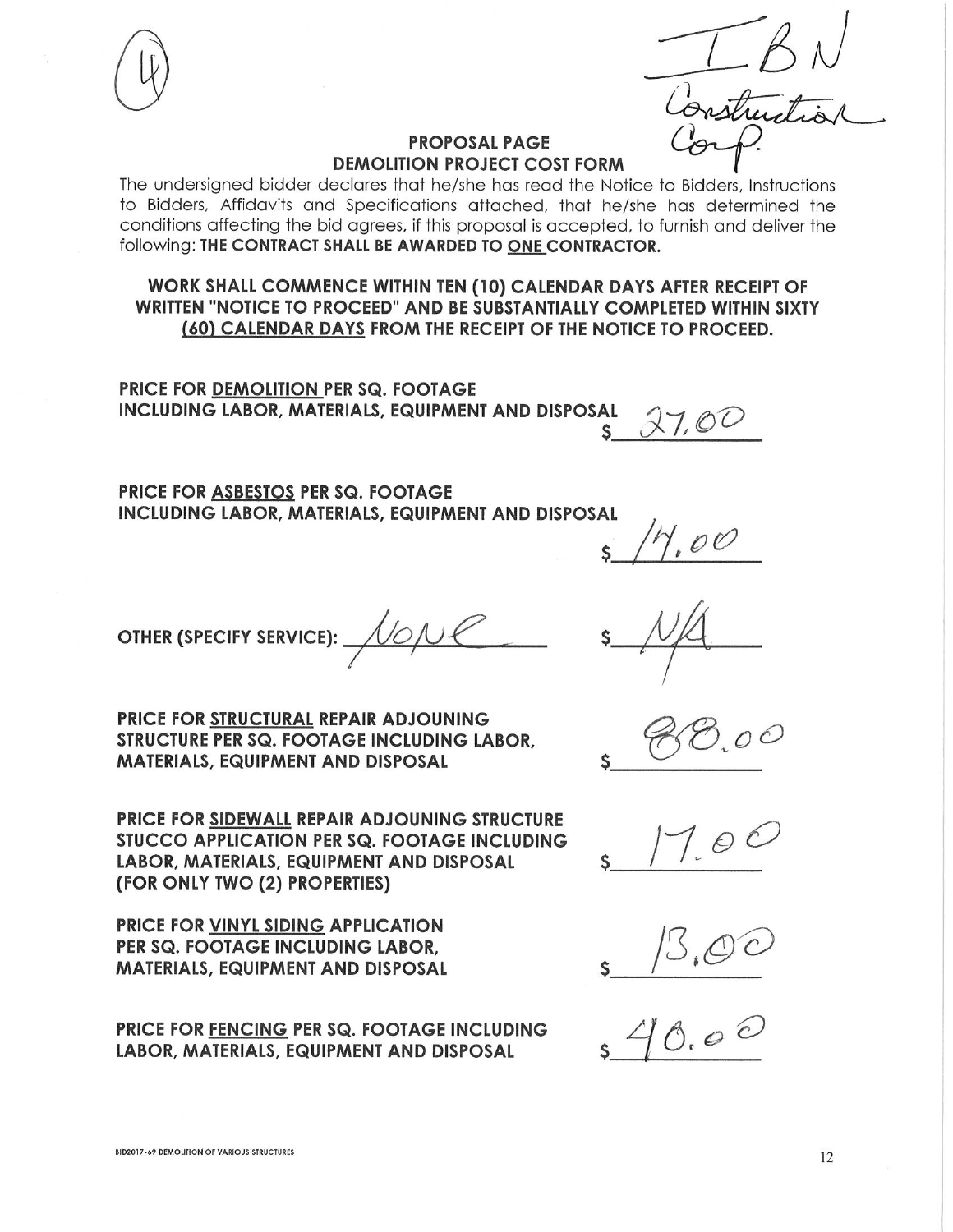## **PROPOSAL PAGE DEMOLITION PROJECT COST FORM**

The undersigned bidder declares that he/she has read the Notice to Bidders, Instructions to Bidders, Affidavits and Specifications attached, that he/she has determined the conditions affecting the bid agrees, if this proposal is accepted, to furnish and deliver the following: THE CONTRACT SHALL BE AWARDED TO ONE CONTRACTOR.

WORK SHALL COMMENCE WITHIN TEN (10) CALENDAR DAYS AFTER RECEIPT OF WRITTEN "NOTICE TO PROCEED" AND BE SUBSTANTIALLY COMPLETED WITHIN SIXTY (60) CALENDAR DAYS FROM THE RECEIPT OF THE NOTICE TO PROCEED.

PRICE FOR DEMOLITION PER SQ. FOOTAGE **INCLUDING LABOR, MATERIALS, EQUIPMENT AND DISPOSAL** 

 $X7,02$ S.

**PRICE FOR ASBESTOS PER SQ. FOOTAGE** INCLUDING LABOR, MATERIALS, EQUIPMENT AND DISPOSAL



 $00$ 

PRICE FOR STRUCTURAL REPAIR ADJOUNING STRUCTURE PER SQ. FOOTAGE INCLUDING LABOR. **MATERIALS, EQUIPMENT AND DISPOSAL** 

**PRICE FOR SIDEWALL REPAIR ADJOUNING STRUCTURE** STUCCO APPLICATION PER SQ. FOOTAGE INCLUDING LABOR, MATERIALS, EQUIPMENT AND DISPOSAL (FOR ONLY TWO (2) PROPERTIES)

PRICE FOR VINYL SIDING APPLICATION PER SQ. FOOTAGE INCLUDING LABOR, **MATERIALS, EQUIPMENT AND DISPOSAL** 

**OTHER (SPECIFY SERVICE):** 

PRICE FOR FENCING PER SQ. FOOTAGE INCLUDING LABOR, MATERIALS, EQUIPMENT AND DISPOSAL